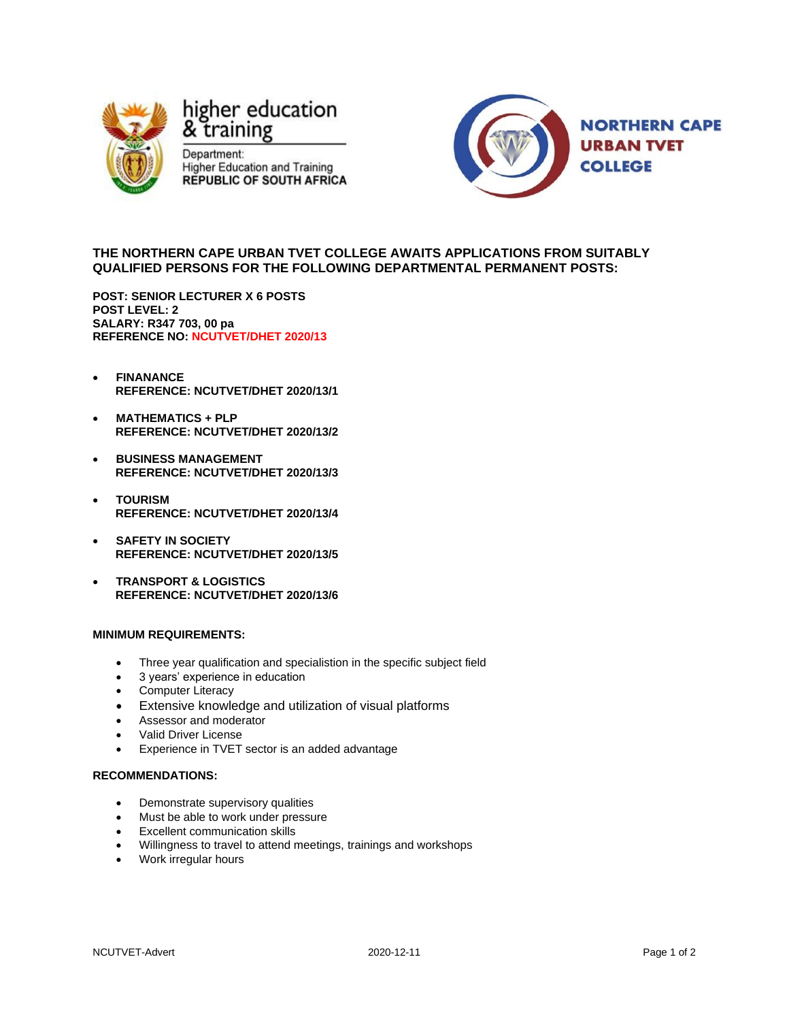

# higher education & training

Department: **Higher Education and Training REPUBLIC OF SOUTH AFRICA** 



## **THE NORTHERN CAPE URBAN TVET COLLEGE AWAITS APPLICATIONS FROM SUITABLY QUALIFIED PERSONS FOR THE FOLLOWING DEPARTMENTAL PERMANENT POSTS:**

**POST: SENIOR LECTURER X 6 POSTS POST LEVEL: 2 SALARY: R347 703, 00 pa REFERENCE NO: NCUTVET/DHET 2020/13**

- **FINANANCE REFERENCE: NCUTVET/DHET 2020/13/1**
- **MATHEMATICS + PLP REFERENCE: NCUTVET/DHET 2020/13/2**
- **BUSINESS MANAGEMENT REFERENCE: NCUTVET/DHET 2020/13/3**
- **TOURISM REFERENCE: NCUTVET/DHET 2020/13/4**
- **SAFETY IN SOCIETY REFERENCE: NCUTVET/DHET 2020/13/5**
- **TRANSPORT & LOGISTICS REFERENCE: NCUTVET/DHET 2020/13/6**

### **MINIMUM REQUIREMENTS:**

- Three year qualification and specialistion in the specific subject field
- 3 years' experience in education
- Computer Literacy
- Extensive knowledge and utilization of visual platforms
- Assessor and moderator
- Valid Driver License
- Experience in TVET sector is an added advantage

#### **RECOMMENDATIONS:**

- Demonstrate supervisory qualities
- Must be able to work under pressure
- Excellent communication skills
- Willingness to travel to attend meetings, trainings and workshops
- Work irregular hours